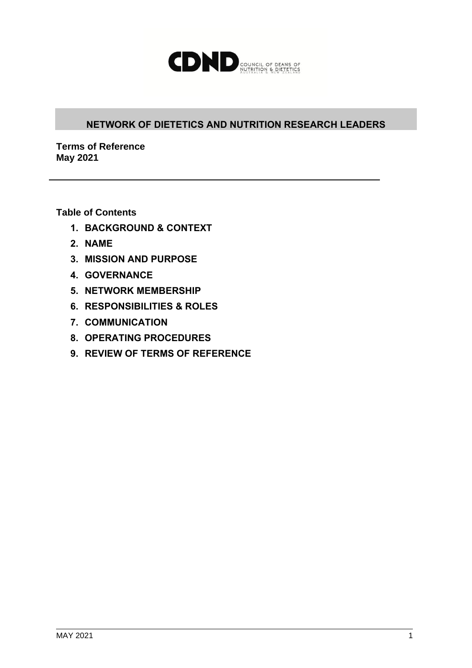

## **NETWORK OF DIETETICS AND NUTRITION RESEARCH LEADERS**

**Terms of Reference May 2021**

**Table of Contents**

- **1. BACKGROUND & CONTEXT**
- **2. NAME**
- **3. MISSION AND PURPOSE**
- **4. GOVERNANCE**
- **5. NETWORK MEMBERSHIP**
- **6. RESPONSIBILITIES & ROLES**
- **7. COMMUNICATION**
- **8. OPERATING PROCEDURES**
- **9. REVIEW OF TERMS OF REFERENCE**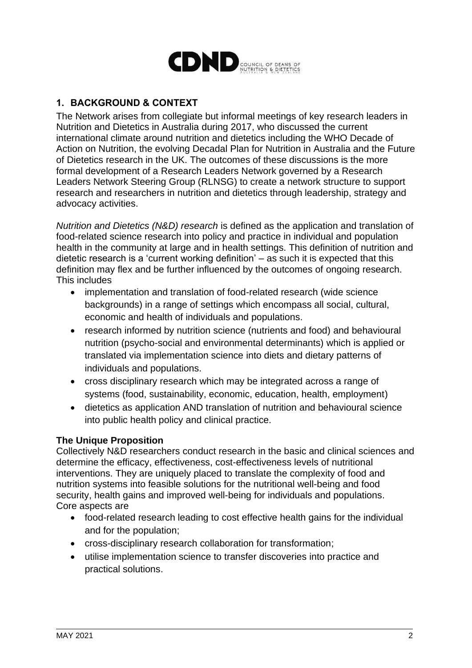

# **1. BACKGROUND & CONTEXT**

The Network arises from collegiate but informal meetings of key research leaders in Nutrition and Dietetics in Australia during 2017, who discussed the current international climate around nutrition and dietetics including the WHO Decade of Action on Nutrition, the evolving Decadal Plan for Nutrition in Australia and the Future of Dietetics research in the UK. The outcomes of these discussions is the more formal development of a Research Leaders Network governed by a Research Leaders Network Steering Group (RLNSG) to create a network structure to support research and researchers in nutrition and dietetics through leadership, strategy and advocacy activities.

*Nutrition and Dietetics (N&D) research* is defined as the application and translation of food-related science research into policy and practice in individual and population health in the community at large and in health settings. This definition of nutrition and dietetic research is a 'current working definition' – as such it is expected that this definition may flex and be further influenced by the outcomes of ongoing research. This includes

- implementation and translation of food-related research (wide science backgrounds) in a range of settings which encompass all social, cultural, economic and health of individuals and populations.
- research informed by nutrition science (nutrients and food) and behavioural nutrition (psycho-social and environmental determinants) which is applied or translated via implementation science into diets and dietary patterns of individuals and populations.
- cross disciplinary research which may be integrated across a range of systems (food, sustainability, economic, education, health, employment)
- dietetics as application AND translation of nutrition and behavioural science into public health policy and clinical practice.

#### **The Unique Proposition**

Collectively N&D researchers conduct research in the basic and clinical sciences and determine the efficacy, effectiveness, cost-effectiveness levels of nutritional interventions. They are uniquely placed to translate the complexity of food and nutrition systems into feasible solutions for the nutritional well-being and food security, health gains and improved well-being for individuals and populations. Core aspects are

- food-related research leading to cost effective health gains for the individual and for the population;
- cross-disciplinary research collaboration for transformation;
- utilise implementation science to transfer discoveries into practice and practical solutions.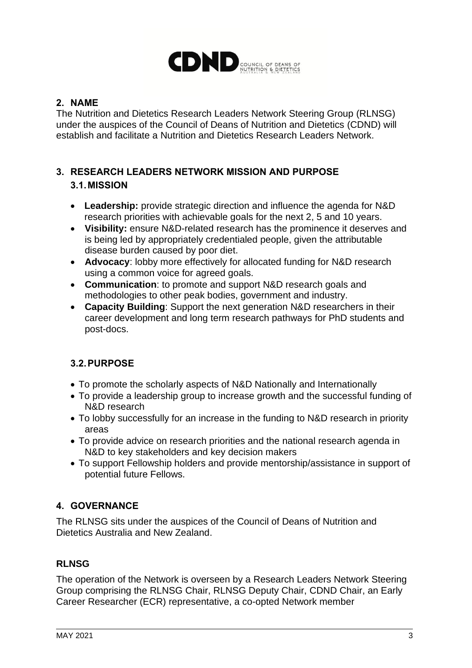

## **2. NAME**

The Nutrition and Dietetics Research Leaders Network Steering Group (RLNSG) under the auspices of the Council of Deans of Nutrition and Dietetics (CDND) will establish and facilitate a Nutrition and Dietetics Research Leaders Network.

# **3. RESEARCH LEADERS NETWORK MISSION AND PURPOSE 3.1.MISSION**

- **Leadership:** provide strategic direction and influence the agenda for N&D research priorities with achievable goals for the next 2, 5 and 10 years.
- **Visibility:** ensure N&D-related research has the prominence it deserves and is being led by appropriately credentialed people, given the attributable disease burden caused by poor diet.
- **Advocacy**: lobby more effectively for allocated funding for N&D research using a common voice for agreed goals.
- **Communication**: to promote and support N&D research goals and methodologies to other peak bodies, government and industry.
- **Capacity Building**: Support the next generation N&D researchers in their career development and long term research pathways for PhD students and post-docs.

# **3.2.PURPOSE**

- To promote the scholarly aspects of N&D Nationally and Internationally
- To provide a leadership group to increase growth and the successful funding of N&D research
- To lobby successfully for an increase in the funding to N&D research in priority areas
- To provide advice on research priorities and the national research agenda in N&D to key stakeholders and key decision makers
- To support Fellowship holders and provide mentorship/assistance in support of potential future Fellows.

# **4. GOVERNANCE**

The RLNSG sits under the auspices of the Council of Deans of Nutrition and Dietetics Australia and New Zealand.

## **RLNSG**

The operation of the Network is overseen by a Research Leaders Network Steering Group comprising the RLNSG Chair, RLNSG Deputy Chair, CDND Chair, an Early Career Researcher (ECR) representative, a co-opted Network member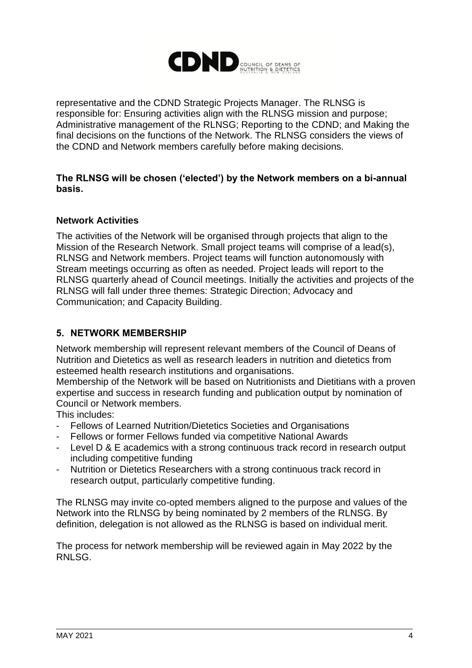

representative and the CDND Strategic Projects Manager. The RLNSG is responsible for: Ensuring activities align with the RLNSG mission and purpose; Administrative management of the RLNSG; Reporting to the CDND; and Making the final decisions on the functions of the Network. The RLNSG considers the views of the CDND and Network members carefully before making decisions.

### **The RLNSG will be chosen ('elected') by the Network members on a bi-annual basis.**

### **Network Activities**

The activities of the Network will be organised through projects that align to the Mission of the Research Network. Small project teams will comprise of a lead(s), RLNSG and Network members. Project teams will function autonomously with Stream meetings occurring as often as needed. Project leads will report to the RLNSG quarterly ahead of Council meetings. Initially the activities and projects of the RLNSG will fall under three themes: Strategic Direction; Advocacy and Communication; and Capacity Building.

### **5. NETWORK MEMBERSHIP**

Network membership will represent relevant members of the Council of Deans of Nutrition and Dietetics as well as research leaders in nutrition and dietetics from esteemed health research institutions and organisations.

Membership of the Network will be based on Nutritionists and Dietitians with a proven expertise and success in research funding and publication output by nomination of Council or Network members.

This includes:

- Fellows of Learned Nutrition/Dietetics Societies and Organisations
- Fellows or former Fellows funded via competitive National Awards
- Level D & E academics with a strong continuous track record in research output including competitive funding
- Nutrition or Dietetics Researchers with a strong continuous track record in research output, particularly competitive funding.

The RLNSG may invite co-opted members aligned to the purpose and values of the Network into the RLNSG by being nominated by 2 members of the RLNSG. By definition, delegation is not allowed as the RLNSG is based on individual merit.

The process for network membership will be reviewed again in May 2022 by the RNLSG.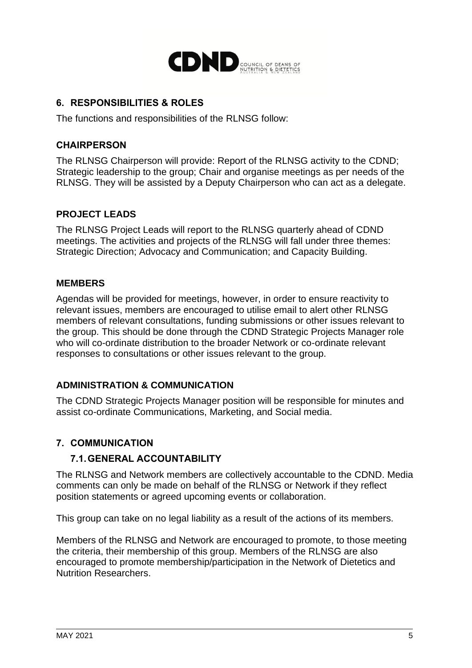

## **6. RESPONSIBILITIES & ROLES**

The functions and responsibilities of the RLNSG follow:

### **CHAIRPERSON**

The RLNSG Chairperson will provide: Report of the RLNSG activity to the CDND; Strategic leadership to the group; Chair and organise meetings as per needs of the RLNSG. They will be assisted by a Deputy Chairperson who can act as a delegate.

## **PROJECT LEADS**

The RLNSG Project Leads will report to the RLNSG quarterly ahead of CDND meetings. The activities and projects of the RLNSG will fall under three themes: Strategic Direction; Advocacy and Communication; and Capacity Building.

### **MEMBERS**

Agendas will be provided for meetings, however, in order to ensure reactivity to relevant issues, members are encouraged to utilise email to alert other RLNSG members of relevant consultations, funding submissions or other issues relevant to the group. This should be done through the CDND Strategic Projects Manager role who will co-ordinate distribution to the broader Network or co-ordinate relevant responses to consultations or other issues relevant to the group.

## **ADMINISTRATION & COMMUNICATION**

The CDND Strategic Projects Manager position will be responsible for minutes and assist co-ordinate Communications, Marketing, and Social media.

## **7. COMMUNICATION**

## **7.1.GENERAL ACCOUNTABILITY**

The RLNSG and Network members are collectively accountable to the CDND. Media comments can only be made on behalf of the RLNSG or Network if they reflect position statements or agreed upcoming events or collaboration.

This group can take on no legal liability as a result of the actions of its members.

Members of the RLNSG and Network are encouraged to promote, to those meeting the criteria, their membership of this group. Members of the RLNSG are also encouraged to promote membership/participation in the Network of Dietetics and Nutrition Researchers.